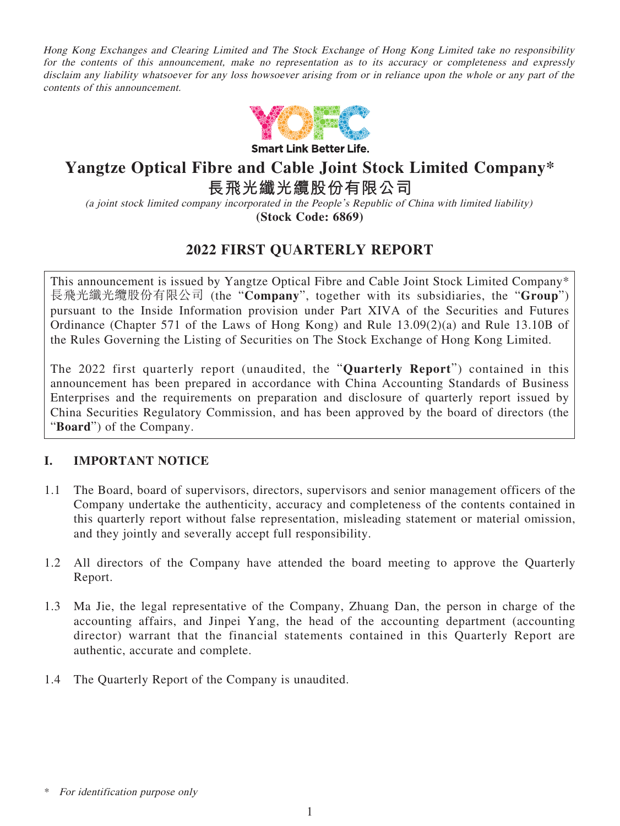Hong Kong Exchanges and Clearing Limited and The Stock Exchange of Hong Kong Limited take no responsibility for the contents of this announcement, make no representation as to its accuracy or completeness and expressly disclaim any liability whatsoever for any loss howsoever arising from or in reliance upon the whole or any part of the contents of this announcement.



**Smart Link Better Life.** 

# **Yangtze Optical Fibre and Cable Joint Stock Limited Company\***

**長飛光纖光纜股份有限公司**

(a joint stock limited company incorporated in the People's Republic of China with limited liability)

**(Stock Code: 6869)**

# **2022 FIRST QUARTERLY REPORT**

This announcement is issued by Yangtze Optical Fibre and Cable Joint Stock Limited Company\* 長飛光纖光纜股份有限公司 (the "**Company**", together with its subsidiaries, the "**Group**") pursuant to the Inside Information provision under Part XIVA of the Securities and Futures Ordinance (Chapter 571 of the Laws of Hong Kong) and Rule 13.09(2)(a) and Rule 13.10B of the Rules Governing the Listing of Securities on The Stock Exchange of Hong Kong Limited.

The 2022 first quarterly report (unaudited, the "**Quarterly Report**") contained in this announcement has been prepared in accordance with China Accounting Standards of Business Enterprises and the requirements on preparation and disclosure of quarterly report issued by China Securities Regulatory Commission, and has been approved by the board of directors (the "**Board**") of the Company.

### **I. IMPORTANT NOTICE**

- 1.1 The Board, board of supervisors, directors, supervisors and senior management officers of the Company undertake the authenticity, accuracy and completeness of the contents contained in this quarterly report without false representation, misleading statement or material omission, and they jointly and severally accept full responsibility.
- 1.2 All directors of the Company have attended the board meeting to approve the Quarterly Report.
- 1.3 Ma Jie, the legal representative of the Company, Zhuang Dan, the person in charge of the accounting affairs, and Jinpei Yang, the head of the accounting department (accounting director) warrant that the financial statements contained in this Quarterly Report are authentic, accurate and complete.
- 1.4 The Quarterly Report of the Company is unaudited.

For identification purpose only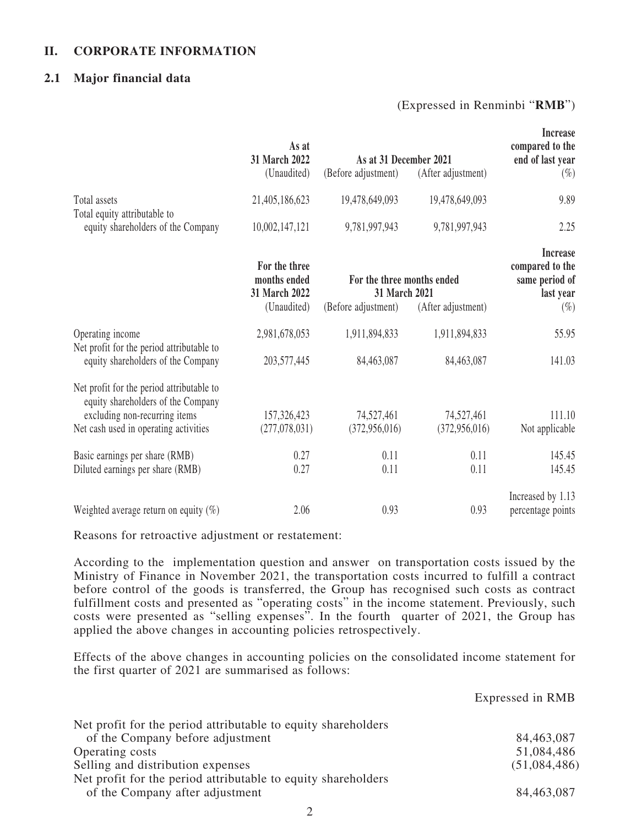#### **II. CORPORATE INFORMATION**

#### **2.1 Major financial data**

#### (Expressed in Renminbi "**RMB**")

Expressed in RMB

|                                                                                                                                                           | As at<br>31 March 2022                                        | As at 31 December 2021                                             |                             | Increase<br>compared to the<br>end of last year                             |
|-----------------------------------------------------------------------------------------------------------------------------------------------------------|---------------------------------------------------------------|--------------------------------------------------------------------|-----------------------------|-----------------------------------------------------------------------------|
|                                                                                                                                                           | (Unaudited)                                                   | (Before adjustment)                                                | (After adjustment)          | $(\%)$                                                                      |
| Total assets<br>Total equity attributable to                                                                                                              | 21,405,186,623                                                | 19,478,649,093                                                     | 19,478,649,093              | 9.89                                                                        |
| equity shareholders of the Company                                                                                                                        | 10,002,147,121                                                | 9,781,997,943                                                      | 9,781,997,943               | 2.25                                                                        |
|                                                                                                                                                           | For the three<br>months ended<br>31 March 2022<br>(Unaudited) | For the three months ended<br>31 March 2021<br>(Before adjustment) | (After adjustment)          | <b>Increase</b><br>compared to the<br>same period of<br>last year<br>$(\%)$ |
| Operating income<br>Net profit for the period attributable to<br>equity shareholders of the Company                                                       | 2,981,678,053<br>203,577,445                                  | 1,911,894,833<br>84,463,087                                        | 1,911,894,833<br>84,463,087 | 55.95<br>141.03                                                             |
| Net profit for the period attributable to<br>equity shareholders of the Company<br>excluding non-recurring items<br>Net cash used in operating activities | 157,326,423<br>(277,078,031)                                  | 74,527,461<br>(372, 956, 016)                                      | 74,527,461<br>(372,956,016) | 111.10<br>Not applicable                                                    |
| Basic earnings per share (RMB)<br>Diluted earnings per share (RMB)                                                                                        | 0.27<br>0.27                                                  | 0.11<br>0.11                                                       | 0.11<br>0.11                | 145.45<br>145.45                                                            |
| Weighted average return on equity $(\%)$                                                                                                                  | 2.06                                                          | 0.93                                                               | 0.93                        | Increased by 1.13<br>percentage points                                      |

Reasons for retroactive adjustment or restatement:

According to the implementation question and answer on transportation costs issued by the Ministry of Finance in November 2021, the transportation costs incurred to fulfill a contract before control of the goods is transferred, the Group has recognised such costs as contract fulfillment costs and presented as "operating costs" in the income statement. Previously, such costs were presented as "selling expenses". In the fourth quarter of 2021, the Group has applied the above changes in accounting policies retrospectively.

Effects of the above changes in accounting policies on the consolidated income statement for the first quarter of 2021 are summarised as follows:

| Net profit for the period attributable to equity shareholders |              |
|---------------------------------------------------------------|--------------|
| of the Company before adjustment                              | 84,463,087   |
| Operating costs                                               | 51,084,486   |
| Selling and distribution expenses                             | (51,084,486) |
| Net profit for the period attributable to equity shareholders |              |
| of the Company after adjustment                               | 84,463,087   |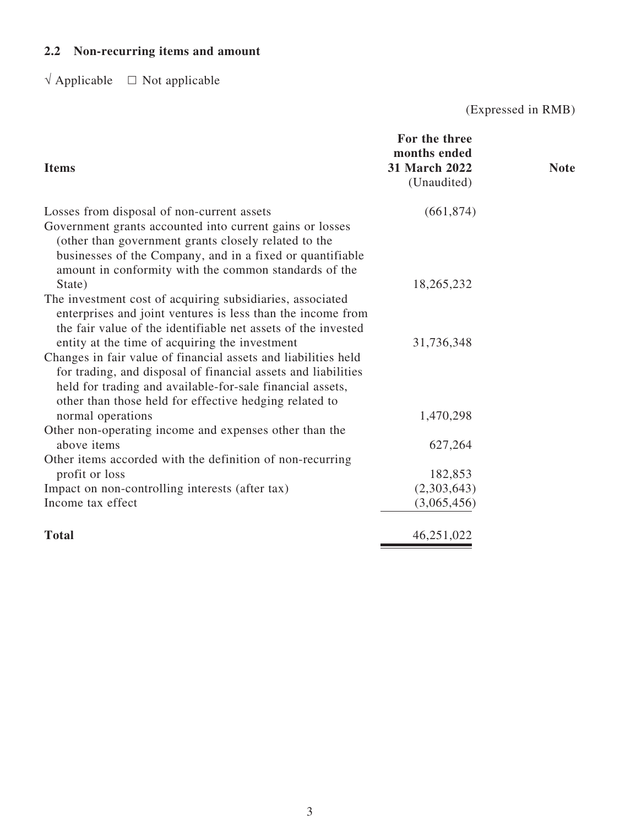# **2.2 Non-recurring items and amount**

 $\sqrt{\text{Applied}} = \Box$  Not applicable

(Expressed in RMB)

| <b>Items</b>                                                                                                                                                                                                                                           | For the three<br>months ended<br><b>31 March 2022</b><br>(Unaudited) | <b>Note</b> |
|--------------------------------------------------------------------------------------------------------------------------------------------------------------------------------------------------------------------------------------------------------|----------------------------------------------------------------------|-------------|
| Losses from disposal of non-current assets                                                                                                                                                                                                             | (661, 874)                                                           |             |
| Government grants accounted into current gains or losses<br>(other than government grants closely related to the<br>businesses of the Company, and in a fixed or quantifiable<br>amount in conformity with the common standards of the                 |                                                                      |             |
| State)                                                                                                                                                                                                                                                 | 18,265,232                                                           |             |
| The investment cost of acquiring subsidiaries, associated<br>enterprises and joint ventures is less than the income from<br>the fair value of the identifiable net assets of the invested                                                              |                                                                      |             |
| entity at the time of acquiring the investment                                                                                                                                                                                                         | 31,736,348                                                           |             |
| Changes in fair value of financial assets and liabilities held<br>for trading, and disposal of financial assets and liabilities<br>held for trading and available-for-sale financial assets,<br>other than those held for effective hedging related to |                                                                      |             |
| normal operations                                                                                                                                                                                                                                      | 1,470,298                                                            |             |
| Other non-operating income and expenses other than the<br>above items                                                                                                                                                                                  | 627,264                                                              |             |
| Other items accorded with the definition of non-recurring<br>profit or loss                                                                                                                                                                            | 182,853                                                              |             |
| Impact on non-controlling interests (after tax)                                                                                                                                                                                                        | (2,303,643)                                                          |             |
| Income tax effect                                                                                                                                                                                                                                      | (3,065,456)                                                          |             |
| <b>Total</b>                                                                                                                                                                                                                                           | 46,251,022                                                           |             |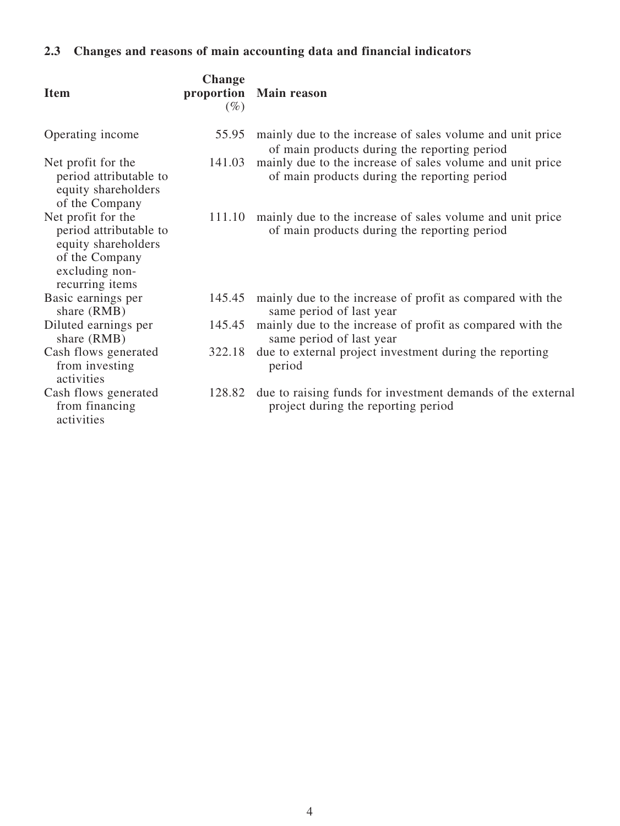# **2.3 Changes and reasons of main accounting data and financial indicators**

| <b>Item</b>                                                                                                                | <b>Change</b><br>$(\%)$ | proportion Main reason                                                                                    |
|----------------------------------------------------------------------------------------------------------------------------|-------------------------|-----------------------------------------------------------------------------------------------------------|
| Operating income                                                                                                           | 55.95                   | mainly due to the increase of sales volume and unit price<br>of main products during the reporting period |
| Net profit for the<br>period attributable to<br>equity shareholders<br>of the Company                                      | 141.03                  | mainly due to the increase of sales volume and unit price<br>of main products during the reporting period |
| Net profit for the<br>period attributable to<br>equity shareholders<br>of the Company<br>excluding non-<br>recurring items | 111.10                  | mainly due to the increase of sales volume and unit price<br>of main products during the reporting period |
| Basic earnings per<br>share (RMB)                                                                                          |                         | 145.45 mainly due to the increase of profit as compared with the<br>same period of last year              |
| Diluted earnings per<br>share (RMB)                                                                                        | 145.45                  | mainly due to the increase of profit as compared with the<br>same period of last year                     |
| Cash flows generated<br>from investing<br>activities                                                                       | 322.18                  | due to external project investment during the reporting<br>period                                         |
| Cash flows generated<br>from financing<br>activities                                                                       | 128.82                  | due to raising funds for investment demands of the external<br>project during the reporting period        |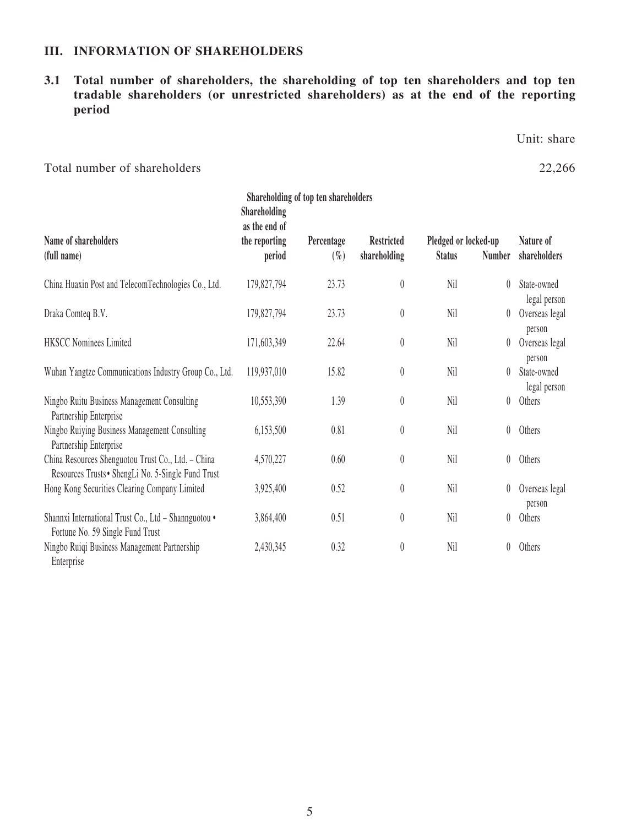#### **III. INFORMATION OF SHAREHOLDERS**

# **3.1 Total number of shareholders, the shareholding of top ten shareholders and top ten tradable shareholders (or unrestricted shareholders) as at the end of the reporting period**

Unit: share

Total number of shareholders 22,266

Enterprise

| Shareholding of top ten shareholders                                                                     |                                                          |                      |                                   |                                       |               |                             |
|----------------------------------------------------------------------------------------------------------|----------------------------------------------------------|----------------------|-----------------------------------|---------------------------------------|---------------|-----------------------------|
| Name of shareholders<br>(full name)                                                                      | Shareholding<br>as the end of<br>the reporting<br>period | Percentage<br>$(\%)$ | <b>Restricted</b><br>shareholding | Pledged or locked-up<br><b>Status</b> | <b>Number</b> | Nature of<br>shareholders   |
| China Huaxin Post and TelecomTechnologies Co., Ltd.                                                      | 179,827,794                                              | 23.73                | $\boldsymbol{0}$                  | Nil                                   | 0             | State-owned<br>legal person |
| Draka Comteq B.V.                                                                                        | 179,827,794                                              | 23.73                | $\theta$                          | Nil                                   | $\theta$      | Overseas legal<br>person    |
| <b>HKSCC Nominees Limited</b>                                                                            | 171,603,349                                              | 22.64                | $\theta$                          | Nil                                   | 0             | Overseas legal<br>person    |
| Wuhan Yangtze Communications Industry Group Co., Ltd.                                                    | 119,937,010                                              | 15.82                | $\boldsymbol{0}$                  | Nil                                   | 0             | State-owned<br>legal person |
| Ningbo Ruitu Business Management Consulting<br>Partnership Enterprise                                    | 10,553,390                                               | 1.39                 | $\pmb{0}$                         | Nil                                   | 0             | Others                      |
| Ningbo Ruiying Business Management Consulting<br>Partnership Enterprise                                  | 6,153,500                                                | 0.81                 | 0                                 | Nil                                   | 0             | Others                      |
| China Resources Shenguotou Trust Co., Ltd. - China<br>Resources Trusts • ShengLi No. 5-Single Fund Trust | 4,570,227                                                | 0.60                 | $\boldsymbol{0}$                  | Nil                                   | 0             | Others                      |
| Hong Kong Securities Clearing Company Limited                                                            | 3,925,400                                                | 0.52                 | $\theta$                          | Nil                                   | 0             | Overseas legal<br>person    |
| Shannxi International Trust Co., Ltd - Shannguotou .<br>Fortune No. 59 Single Fund Trust                 | 3,864,400                                                | 0.51                 | $\boldsymbol{0}$                  | Nil                                   | 0             | Others                      |
| Ningbo Ruiqi Business Management Partnership                                                             | 2,430,345                                                | 0.32                 | $\pmb{0}$                         | Nil                                   | 0             | Others                      |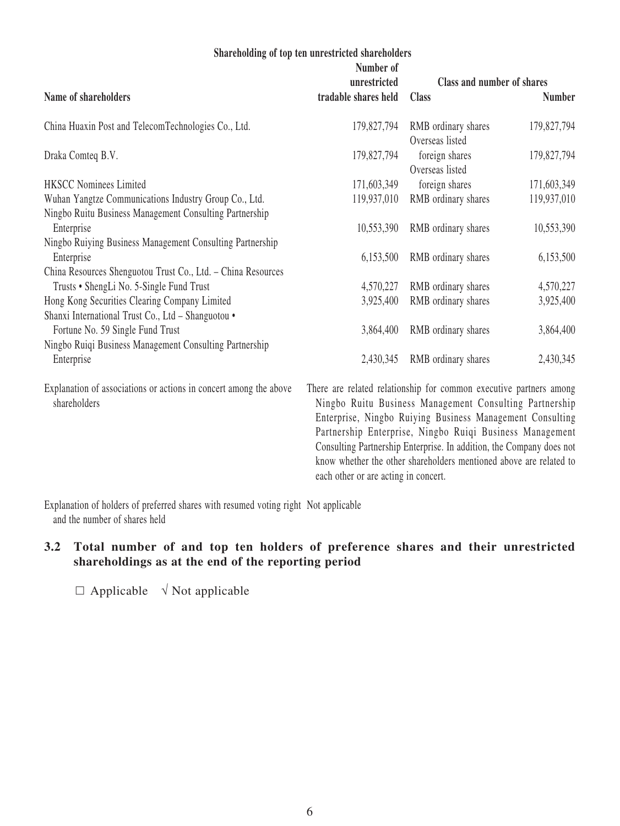#### **Shareholding of top ten unrestricted shareholders**

|                                                                                                                  | Number of<br>unrestricted | Class and number of shares                                           |               |
|------------------------------------------------------------------------------------------------------------------|---------------------------|----------------------------------------------------------------------|---------------|
| Name of shareholders                                                                                             | tradable shares held      | <b>Class</b>                                                         | <b>Number</b> |
| China Huaxin Post and TelecomTechnologies Co., Ltd.                                                              | 179,827,794               | RMB ordinary shares<br>Overseas listed                               | 179,827,794   |
| Draka Comteq B.V.                                                                                                | 179,827,794               | foreign shares<br>Overseas listed                                    | 179,827,794   |
| <b>HKSCC Nominees Limited</b>                                                                                    | 171,603,349               | foreign shares                                                       | 171,603,349   |
| Wuhan Yangtze Communications Industry Group Co., Ltd.<br>Ningbo Ruitu Business Management Consulting Partnership | 119,937,010               | RMB ordinary shares                                                  | 119,937,010   |
| Enterprise<br>Ningbo Ruiying Business Management Consulting Partnership                                          | 10,553,390                | RMB ordinary shares                                                  | 10,553,390    |
| Enterprise<br>China Resources Shenguotou Trust Co., Ltd. - China Resources                                       | 6,153,500                 | RMB ordinary shares                                                  | 6,153,500     |
| Trusts • ShengLi No. 5-Single Fund Trust                                                                         | 4,570,227                 | RMB ordinary shares                                                  | 4,570,227     |
| Hong Kong Securities Clearing Company Limited<br>Shanxi International Trust Co., Ltd - Shanguotou .              | 3,925,400                 | RMB ordinary shares                                                  | 3,925,400     |
| Fortune No. 59 Single Fund Trust<br>Ningbo Ruiqi Business Management Consulting Partnership                      | 3,864,400                 | RMB ordinary shares                                                  | 3,864,400     |
| Enterprise                                                                                                       | 2,430,345                 | RMB ordinary shares                                                  | 2,430,345     |
| Explanation of associations or actions in concert among the above                                                |                           | There are related relationship for common executive partners among   |               |
| shareholders                                                                                                     |                           | Ningbo Ruitu Business Management Consulting Partnership              |               |
|                                                                                                                  |                           | Enterprise, Ningbo Ruiying Business Management Consulting            |               |
|                                                                                                                  |                           | Partnership Enterprise, Ningbo Ruiqi Business Management             |               |
|                                                                                                                  |                           | Consulting Partnership Enterprise. In addition, the Company does not |               |
|                                                                                                                  |                           | know whether the other shareholders mentioned above are related to   |               |

Explanation of holders of preferred shares with resumed voting right Not applicable and the number of shares held

# **3.2 Total number of and top ten holders of preference shares and their unrestricted shareholdings as at the end of the reporting period**

each other or are acting in concert.

 $\Box$  Applicable  $\sqrt{\ }$  Not applicable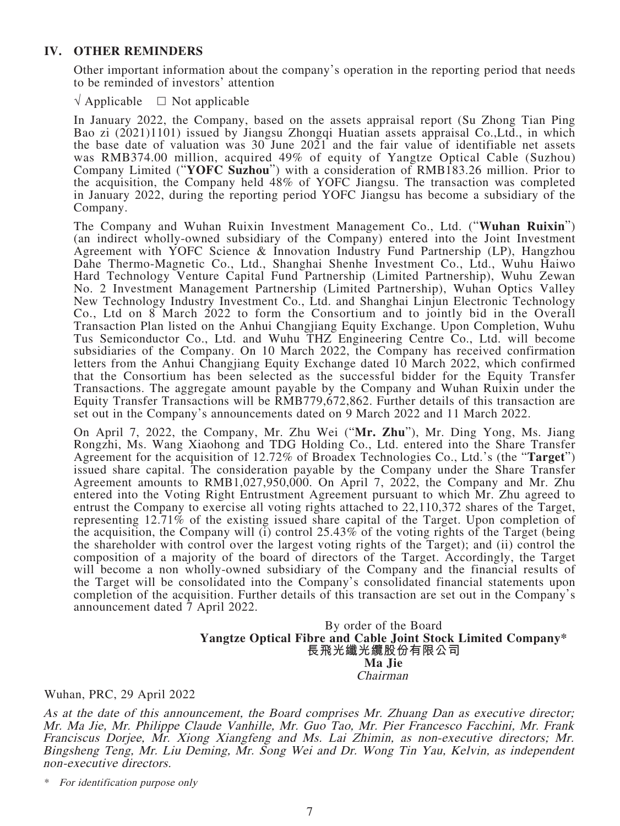#### **IV. OTHER REMINDERS**

Other important information about the company's operation in the reporting period that needs to be reminded of investors' attention

 $\sqrt{a}$  Applicable  $\Box$  Not applicable

In January 2022, the Company, based on the assets appraisal report (Su Zhong Tian Ping Bao zi (2021)1101) issued by Jiangsu Zhongqi Huatian assets appraisal Co.,Ltd., in which the base date of valuation was 30 June 2021 and the fair value of identifiable net assets was RMB374.00 million, acquired 49% of equity of Yangtze Optical Cable (Suzhou) Company Limited ("**YOFC Suzhou**") with a consideration of RMB183.26 million. Prior to the acquisition, the Company held 48% of YOFC Jiangsu. The transaction was completed in January 2022, during the reporting period YOFC Jiangsu has become a subsidiary of the Company.

The Company and Wuhan Ruixin Investment Management Co., Ltd. ("**Wuhan Ruixin**") (an indirect wholly-owned subsidiary of the Company) entered into the Joint Investment Agreement with YOFC Science & Innovation Industry Fund Partnership (LP), Hangzhou Dahe Thermo-Magnetic Co., Ltd., Shanghai Shenhe Investment Co., Ltd., Wuhu Haiwo Hard Technology Venture Capital Fund Partnership (Limited Partnership), Wuhu Zewan No. 2 Investment Management Partnership (Limited Partnership), Wuhan Optics Valley New Technology Industry Investment Co., Ltd. and Shanghai Linjun Electronic Technology Co., Ltd on 8 March 2022 to form the Consortium and to jointly bid in the Overall Transaction Plan listed on the Anhui Changjiang Equity Exchange. Upon Completion, Wuhu Tus Semiconductor Co., Ltd. and Wuhu THZ Engineering Centre Co., Ltd. will become subsidiaries of the Company. On 10 March 2022, the Company has received confirmation letters from the Anhui Changjiang Equity Exchange dated 10 March 2022, which confirmed that the Consortium has been selected as the successful bidder for the Equity Transfer Transactions. The aggregate amount payable by the Company and Wuhan Ruixin under the Equity Transfer Transactions will be RMB779,672,862. Further details of this transaction are set out in the Company's announcements dated on 9 March 2022 and 11 March 2022.

On April 7, 2022, the Company, Mr. Zhu Wei ("**Mr. Zhu**"), Mr. Ding Yong, Ms. Jiang Rongzhi, Ms. Wang Xiaohong and TDG Holding Co., Ltd. entered into the Share Transfer Agreement for the acquisition of 12.72% of Broadex Technologies Co., Ltd.'s (the "**Target**") issued share capital. The consideration payable by the Company under the Share Transfer Agreement amounts to RMB1,027,950,000. On April 7, 2022, the Company and Mr. Zhu entered into the Voting Right Entrustment Agreement pursuant to which Mr. Zhu agreed to entrust the Company to exercise all voting rights attached to 22,110,372 shares of the Target, representing 12.71% of the existing issued share capital of the Target. Upon completion of the acquisition, the Company will  $\overline{(i)}$  control 25.43% of the voting rights of the Target (being the shareholder with control over the largest voting rights of the Target); and (ii) control the composition of a majority of the board of directors of the Target. Accordingly, the Target will become a non wholly-owned subsidiary of the Company and the financial results of the Target will be consolidated into the Company's consolidated financial statements upon completion of the acquisition. Further details of this transaction are set out in the Company's announcement dated 7 April 2022.

# By order of the Board **Yangtze Optical Fibre and Cable Joint Stock Limited Company\* 長飛光纖光纜股份有限公司 Ma Jie** Chairman

#### Wuhan, PRC, 29 April 2022

As at the date of this announcement, the Board comprises Mr. Zhuang Dan as executive director; Mr. Ma Jie, Mr. Philippe Claude Vanhille, Mr. Guo Tao, Mr. Pier Francesco Facchini, Mr. Frank Franciscus Dorjee, Mr. Xiong Xiangfeng and Ms. Lai Zhimin, as non-executive directors; Mr. Bingsheng Teng, Mr. Liu Deming, Mr. Song Wei and Dr. Wong Tin Yau, Kelvin, as independent non-executive directors.

\* For identification purpose only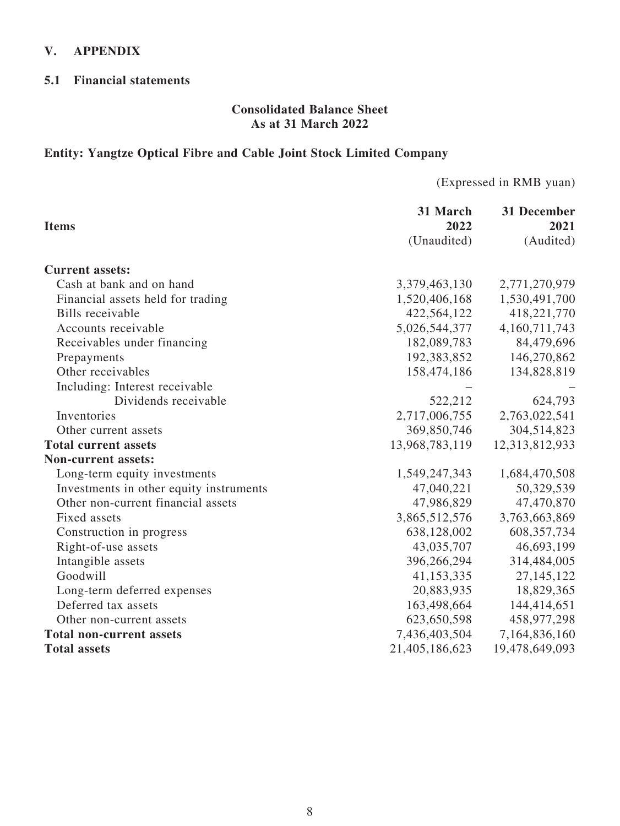## **V. APPENDIX**

#### **5.1 Financial statements**

#### **Consolidated Balance Sheet As at 31 March 2022**

# **Entity: Yangtze Optical Fibre and Cable Joint Stock Limited Company**

(Expressed in RMB yuan)

|                                         | 31 March       | 31 December    |
|-----------------------------------------|----------------|----------------|
| <b>Items</b>                            | 2022           | 2021           |
|                                         | (Unaudited)    | (Audited)      |
| <b>Current assets:</b>                  |                |                |
| Cash at bank and on hand                | 3,379,463,130  | 2,771,270,979  |
| Financial assets held for trading       | 1,520,406,168  | 1,530,491,700  |
| <b>Bills</b> receivable                 | 422,564,122    | 418,221,770    |
| Accounts receivable                     | 5,026,544,377  | 4,160,711,743  |
| Receivables under financing             | 182,089,783    | 84,479,696     |
| Prepayments                             | 192,383,852    | 146,270,862    |
| Other receivables                       | 158,474,186    | 134,828,819    |
| Including: Interest receivable          |                |                |
| Dividends receivable                    | 522,212        | 624,793        |
| Inventories                             | 2,717,006,755  | 2,763,022,541  |
| Other current assets                    | 369,850,746    | 304,514,823    |
| <b>Total current assets</b>             | 13,968,783,119 | 12,313,812,933 |
| <b>Non-current assets:</b>              |                |                |
| Long-term equity investments            | 1,549,247,343  | 1,684,470,508  |
| Investments in other equity instruments | 47,040,221     | 50,329,539     |
| Other non-current financial assets      | 47,986,829     | 47,470,870     |
| Fixed assets                            | 3,865,512,576  | 3,763,663,869  |
| Construction in progress                | 638,128,002    | 608, 357, 734  |
| Right-of-use assets                     | 43,035,707     | 46,693,199     |
| Intangible assets                       | 396,266,294    | 314,484,005    |
| Goodwill                                | 41,153,335     | 27, 145, 122   |
| Long-term deferred expenses             | 20,883,935     | 18,829,365     |
| Deferred tax assets                     | 163,498,664    | 144,414,651    |
| Other non-current assets                | 623,650,598    | 458,977,298    |
| <b>Total non-current assets</b>         | 7,436,403,504  | 7,164,836,160  |
| <b>Total assets</b>                     | 21,405,186,623 | 19,478,649,093 |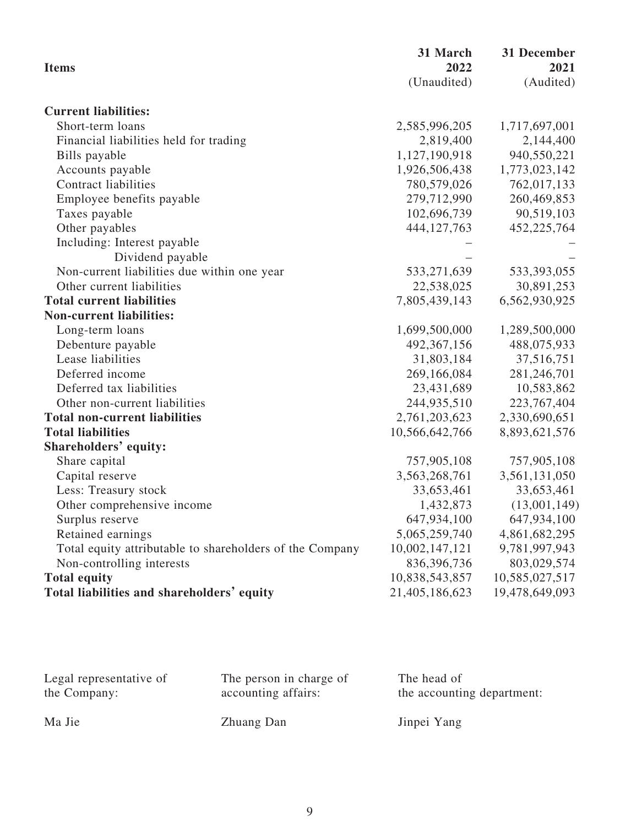| <b>Items</b>                                             | 31 March<br>2022 | 31 December<br>2021 |
|----------------------------------------------------------|------------------|---------------------|
|                                                          | (Unaudited)      | (Audited)           |
| <b>Current liabilities:</b>                              |                  |                     |
| Short-term loans                                         | 2,585,996,205    | 1,717,697,001       |
| Financial liabilities held for trading                   | 2,819,400        | 2,144,400           |
| Bills payable                                            | 1,127,190,918    | 940,550,221         |
| Accounts payable                                         | 1,926,506,438    | 1,773,023,142       |
| <b>Contract liabilities</b>                              | 780,579,026      | 762,017,133         |
| Employee benefits payable                                | 279,712,990      | 260,469,853         |
| Taxes payable                                            | 102,696,739      | 90,519,103          |
| Other payables                                           | 444,127,763      | 452,225,764         |
| Including: Interest payable                              |                  |                     |
| Dividend payable                                         |                  |                     |
| Non-current liabilities due within one year              | 533,271,639      | 533, 393, 055       |
| Other current liabilities                                | 22,538,025       | 30,891,253          |
| <b>Total current liabilities</b>                         | 7,805,439,143    | 6,562,930,925       |
| <b>Non-current liabilities:</b>                          |                  |                     |
| Long-term loans                                          | 1,699,500,000    | 1,289,500,000       |
| Debenture payable                                        | 492, 367, 156    | 488,075,933         |
| Lease liabilities                                        | 31,803,184       | 37,516,751          |
| Deferred income                                          | 269,166,084      | 281,246,701         |
| Deferred tax liabilities                                 | 23,431,689       | 10,583,862          |
| Other non-current liabilities                            | 244,935,510      | 223, 767, 404       |
| <b>Total non-current liabilities</b>                     | 2,761,203,623    | 2,330,690,651       |
| <b>Total liabilities</b>                                 | 10,566,642,766   | 8,893,621,576       |
| Shareholders' equity:                                    |                  |                     |
| Share capital                                            | 757,905,108      | 757,905,108         |
| Capital reserve                                          | 3,563,268,761    | 3,561,131,050       |
| Less: Treasury stock                                     | 33,653,461       | 33,653,461          |
| Other comprehensive income                               | 1,432,873        | (13,001,149)        |
| Surplus reserve                                          | 647,934,100      | 647,934,100         |
| Retained earnings                                        | 5,065,259,740    | 4,861,682,295       |
| Total equity attributable to shareholders of the Company | 10,002,147,121   | 9,781,997,943       |
| Non-controlling interests                                | 836, 396, 736    | 803,029,574         |
| <b>Total equity</b>                                      | 10,838,543,857   | 10,585,027,517      |
| Total liabilities and shareholders' equity               | 21,405,186,623   | 19,478,649,093      |

| Legal representative of | The person in charge of | The head of                |
|-------------------------|-------------------------|----------------------------|
| the Company:            | accounting affairs:     | the accounting department: |
| Ma Jie                  | Zhuang Dan              | Jinpei Yang                |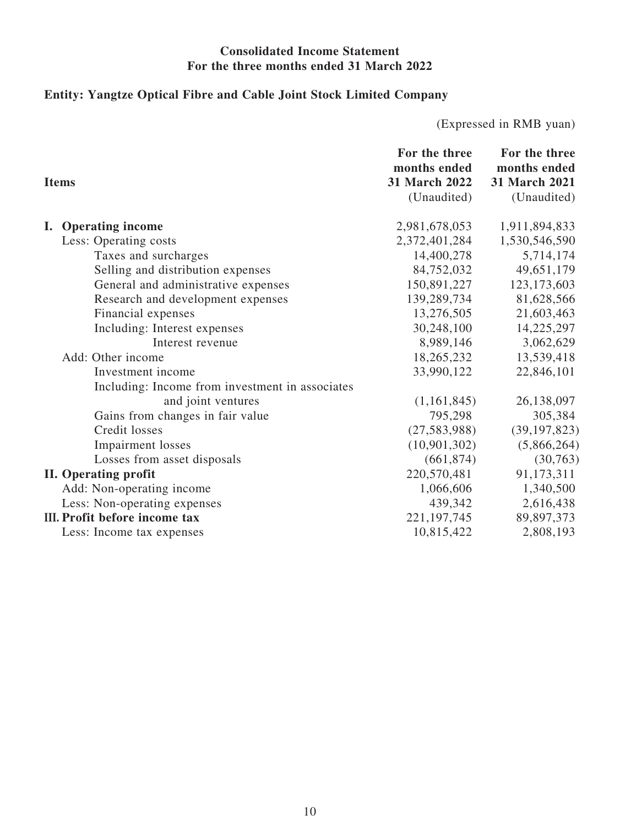## **Consolidated Income Statement For the three months ended 31 March 2022**

# **Entity: Yangtze Optical Fibre and Cable Joint Stock Limited Company**

(Expressed in RMB yuan)

|    | <b>Items</b>                                    | For the three<br>months ended<br>31 March 2022<br>(Unaudited) | For the three<br>months ended<br>31 March 2021<br>(Unaudited) |
|----|-------------------------------------------------|---------------------------------------------------------------|---------------------------------------------------------------|
| L. | <b>Operating income</b>                         | 2,981,678,053                                                 | 1,911,894,833                                                 |
|    | Less: Operating costs                           | 2,372,401,284                                                 | 1,530,546,590                                                 |
|    | Taxes and surcharges                            | 14,400,278                                                    | 5,714,174                                                     |
|    | Selling and distribution expenses               | 84,752,032                                                    | 49,651,179                                                    |
|    | General and administrative expenses             | 150,891,227                                                   | 123, 173, 603                                                 |
|    | Research and development expenses               | 139,289,734                                                   | 81,628,566                                                    |
|    | Financial expenses                              | 13,276,505                                                    | 21,603,463                                                    |
|    | Including: Interest expenses                    | 30,248,100                                                    | 14,225,297                                                    |
|    | Interest revenue                                | 8,989,146                                                     | 3,062,629                                                     |
|    | Add: Other income                               | 18,265,232                                                    | 13,539,418                                                    |
|    | Investment income                               | 33,990,122                                                    | 22,846,101                                                    |
|    | Including: Income from investment in associates |                                                               |                                                               |
|    | and joint ventures                              | (1,161,845)                                                   | 26,138,097                                                    |
|    | Gains from changes in fair value                | 795,298                                                       | 305,384                                                       |
|    | Credit losses                                   | (27, 583, 988)                                                | (39, 197, 823)                                                |
|    | <b>Impairment</b> losses                        | (10, 901, 302)                                                | (5,866,264)                                                   |
|    | Losses from asset disposals                     | (661, 874)                                                    | (30, 763)                                                     |
|    | <b>II. Operating profit</b>                     | 220,570,481                                                   | 91,173,311                                                    |
|    | Add: Non-operating income                       | 1,066,606                                                     | 1,340,500                                                     |
|    | Less: Non-operating expenses                    | 439,342                                                       | 2,616,438                                                     |
|    | III. Profit before income tax                   | 221, 197, 745                                                 | 89,897,373                                                    |
|    | Less: Income tax expenses                       | 10,815,422                                                    | 2,808,193                                                     |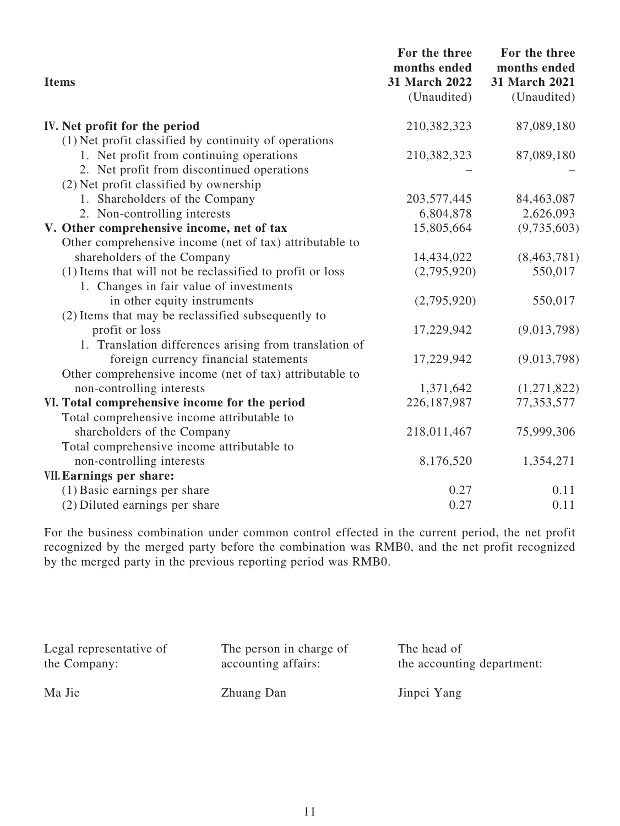| <b>Items</b>                                              | For the three<br>months ended<br>31 March 2022<br>(Unaudited) | For the three<br>months ended<br>31 March 2021<br>(Unaudited) |
|-----------------------------------------------------------|---------------------------------------------------------------|---------------------------------------------------------------|
| IV. Net profit for the period                             | 210,382,323                                                   | 87,089,180                                                    |
| (1) Net profit classified by continuity of operations     |                                                               |                                                               |
| 1. Net profit from continuing operations                  | 210,382,323                                                   | 87,089,180                                                    |
| 2. Net profit from discontinued operations                |                                                               |                                                               |
| (2) Net profit classified by ownership                    |                                                               |                                                               |
| 1. Shareholders of the Company                            | 203, 577, 445                                                 | 84,463,087                                                    |
| 2. Non-controlling interests                              | 6,804,878                                                     | 2,626,093                                                     |
| V. Other comprehensive income, net of tax                 | 15,805,664                                                    | (9,735,603)                                                   |
| Other comprehensive income (net of tax) attributable to   |                                                               |                                                               |
| shareholders of the Company                               | 14,434,022                                                    | (8,463,781)                                                   |
| (1) Items that will not be reclassified to profit or loss | (2,795,920)                                                   | 550,017                                                       |
| 1. Changes in fair value of investments                   |                                                               |                                                               |
| in other equity instruments                               | (2,795,920)                                                   | 550,017                                                       |
| (2) Items that may be reclassified subsequently to        |                                                               |                                                               |
| profit or loss                                            | 17,229,942                                                    | (9,013,798)                                                   |
| 1. Translation differences arising from translation of    |                                                               |                                                               |
| foreign currency financial statements                     | 17,229,942                                                    | (9,013,798)                                                   |
| Other comprehensive income (net of tax) attributable to   |                                                               |                                                               |
| non-controlling interests                                 | 1,371,642                                                     | (1,271,822)                                                   |
| VI. Total comprehensive income for the period             | 226, 187, 987                                                 | 77,353,577                                                    |
| Total comprehensive income attributable to                |                                                               |                                                               |
| shareholders of the Company                               | 218,011,467                                                   | 75,999,306                                                    |
| Total comprehensive income attributable to                |                                                               |                                                               |
| non-controlling interests                                 | 8,176,520                                                     | 1,354,271                                                     |
| VII. Earnings per share:                                  |                                                               |                                                               |
| (1) Basic earnings per share                              | 0.27                                                          | 0.11                                                          |
| (2) Diluted earnings per share                            | 0.27                                                          | 0.11                                                          |

For the business combination under common control effected in the current period, the net profit recognized by the merged party before the combination was RMB0, and the net profit recognized by the merged party in the previous reporting period was RMB0.

| Legal representative of | The person in charge of | The head of                |
|-------------------------|-------------------------|----------------------------|
| the Company:            | accounting affairs:     | the accounting department: |
| Ma Jie                  | Zhuang Dan              | Jinpei Yang                |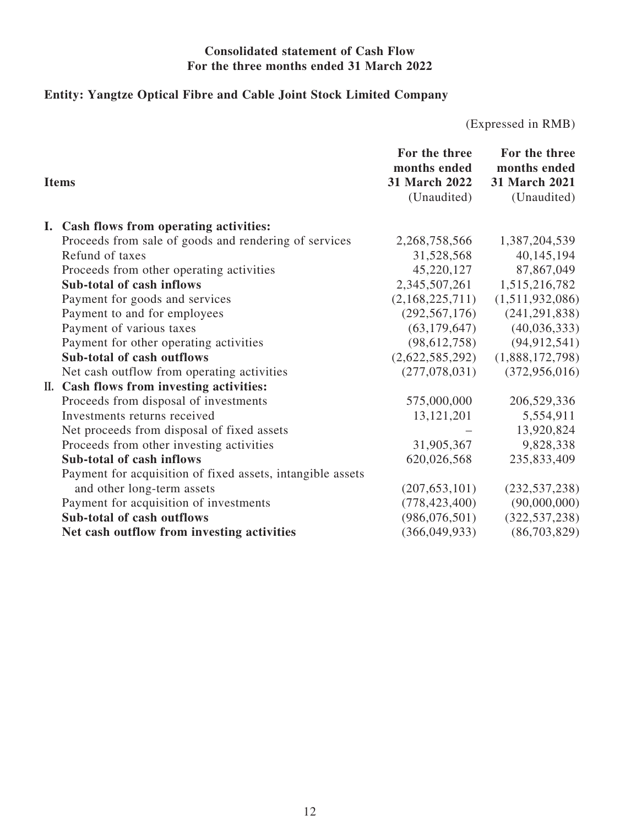### **Consolidated statement of Cash Flow For the three months ended 31 March 2022**

# **Entity: Yangtze Optical Fibre and Cable Joint Stock Limited Company**

(Expressed in RMB)

| <b>Items</b> |                                                            | For the three<br>months ended<br>31 March 2022<br>(Unaudited) | For the three<br>months ended<br>31 March 2021<br>(Unaudited) |
|--------------|------------------------------------------------------------|---------------------------------------------------------------|---------------------------------------------------------------|
|              | I. Cash flows from operating activities:                   |                                                               |                                                               |
|              | Proceeds from sale of goods and rendering of services      | 2,268,758,566                                                 | 1,387,204,539                                                 |
|              | Refund of taxes                                            | 31,528,568                                                    | 40,145,194                                                    |
|              | Proceeds from other operating activities                   | 45,220,127                                                    | 87,867,049                                                    |
|              | Sub-total of cash inflows                                  | 2,345,507,261                                                 | 1,515,216,782                                                 |
|              | Payment for goods and services                             | (2,168,225,711)                                               | (1,511,932,086)                                               |
|              | Payment to and for employees                               | (292, 567, 176)                                               | (241, 291, 838)                                               |
|              | Payment of various taxes                                   | (63, 179, 647)                                                | (40,036,333)                                                  |
|              | Payment for other operating activities                     | (98, 612, 758)                                                | (94, 912, 541)                                                |
|              | Sub-total of cash outflows                                 | (2,622,585,292)                                               | (1,888,172,798)                                               |
|              | Net cash outflow from operating activities                 | (277, 078, 031)                                               | (372, 956, 016)                                               |
|              | II. Cash flows from investing activities:                  |                                                               |                                                               |
|              | Proceeds from disposal of investments                      | 575,000,000                                                   | 206,529,336                                                   |
|              | Investments returns received                               | 13, 121, 201                                                  | 5,554,911                                                     |
|              | Net proceeds from disposal of fixed assets                 |                                                               | 13,920,824                                                    |
|              | Proceeds from other investing activities                   | 31,905,367                                                    | 9,828,338                                                     |
|              | Sub-total of cash inflows                                  | 620,026,568                                                   | 235,833,409                                                   |
|              | Payment for acquisition of fixed assets, intangible assets |                                                               |                                                               |
|              | and other long-term assets                                 | (207, 653, 101)                                               | (232, 537, 238)                                               |
|              | Payment for acquisition of investments                     | (778, 423, 400)                                               | (90,000,000)                                                  |
|              | Sub-total of cash outflows                                 | (986, 076, 501)                                               | (322, 537, 238)                                               |
|              | Net cash outflow from investing activities                 | (366, 049, 933)                                               | (86,703,829)                                                  |